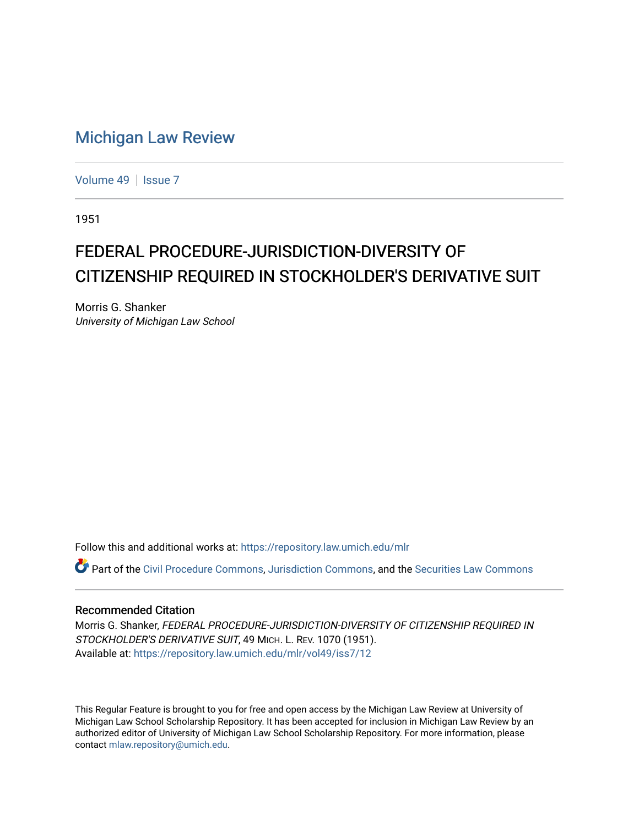## [Michigan Law Review](https://repository.law.umich.edu/mlr)

[Volume 49](https://repository.law.umich.edu/mlr/vol49) | [Issue 7](https://repository.law.umich.edu/mlr/vol49/iss7)

1951

## FEDERAL PROCEDURE-JURISDICTION-DIVERSITY OF CITIZENSHIP REQUIRED IN STOCKHOLDER'S DERIVATIVE SUIT

Morris G. Shanker University of Michigan Law School

Follow this and additional works at: [https://repository.law.umich.edu/mlr](https://repository.law.umich.edu/mlr?utm_source=repository.law.umich.edu%2Fmlr%2Fvol49%2Fiss7%2F12&utm_medium=PDF&utm_campaign=PDFCoverPages) 

Part of the [Civil Procedure Commons,](https://network.bepress.com/hgg/discipline/584?utm_source=repository.law.umich.edu%2Fmlr%2Fvol49%2Fiss7%2F12&utm_medium=PDF&utm_campaign=PDFCoverPages) [Jurisdiction Commons,](https://network.bepress.com/hgg/discipline/850?utm_source=repository.law.umich.edu%2Fmlr%2Fvol49%2Fiss7%2F12&utm_medium=PDF&utm_campaign=PDFCoverPages) and the [Securities Law Commons](https://network.bepress.com/hgg/discipline/619?utm_source=repository.law.umich.edu%2Fmlr%2Fvol49%2Fiss7%2F12&utm_medium=PDF&utm_campaign=PDFCoverPages)

## Recommended Citation

Morris G. Shanker, FEDERAL PROCEDURE-JURISDICTION-DIVERSITY OF CITIZENSHIP REQUIRED IN STOCKHOLDER'S DERIVATIVE SUIT, 49 MICH. L. REV. 1070 (1951). Available at: [https://repository.law.umich.edu/mlr/vol49/iss7/12](https://repository.law.umich.edu/mlr/vol49/iss7/12?utm_source=repository.law.umich.edu%2Fmlr%2Fvol49%2Fiss7%2F12&utm_medium=PDF&utm_campaign=PDFCoverPages) 

This Regular Feature is brought to you for free and open access by the Michigan Law Review at University of Michigan Law School Scholarship Repository. It has been accepted for inclusion in Michigan Law Review by an authorized editor of University of Michigan Law School Scholarship Repository. For more information, please contact [mlaw.repository@umich.edu](mailto:mlaw.repository@umich.edu).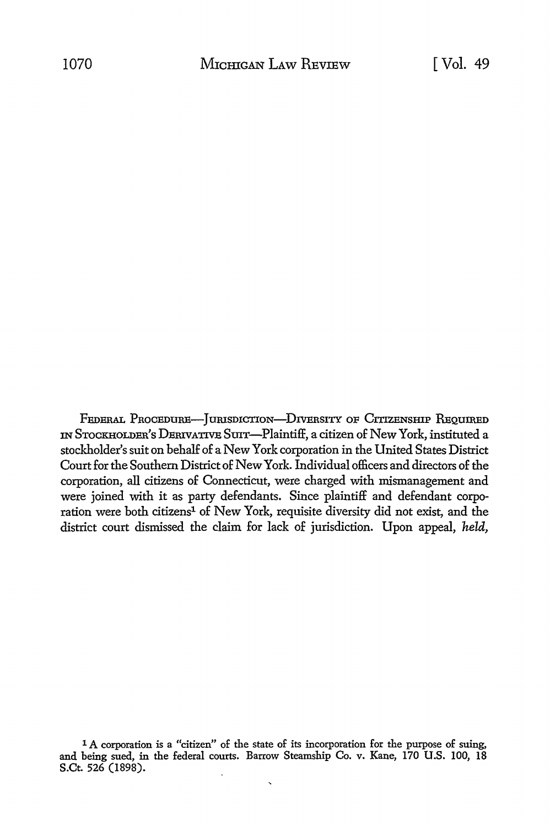FEDERAL PROCEDURE-JURISDICTION-DIVERSITY OF CITIZENSHIP REQUIRED IN STOCKHOLDER'S DERIVATIVE SUIT-Plaintiff, a citizen of New York, instituted a stockholder's suit on behalf of a New York corporation in the United States District Court for the Southern District of New York. Individual officers and directors of the corporation, all citizens of Connecticut, were charged with mismanagement and were joined with it as party defendants. Since plaintiff and defendant corporation were both citizens<sup>1</sup> of New York, requisite diversity did not exist, and the district court dismissed the claim for lack of jurisdiction. Upon appeal, *held,* 

<sup>1</sup> A corporation is a "citizen" of the state of its incorporation for the purpose of suing, and being sued, in the federal courts. Barrow Steamship Co. v. Kane, 170 U.S. 100, 18 S.Ct. 526 (1898).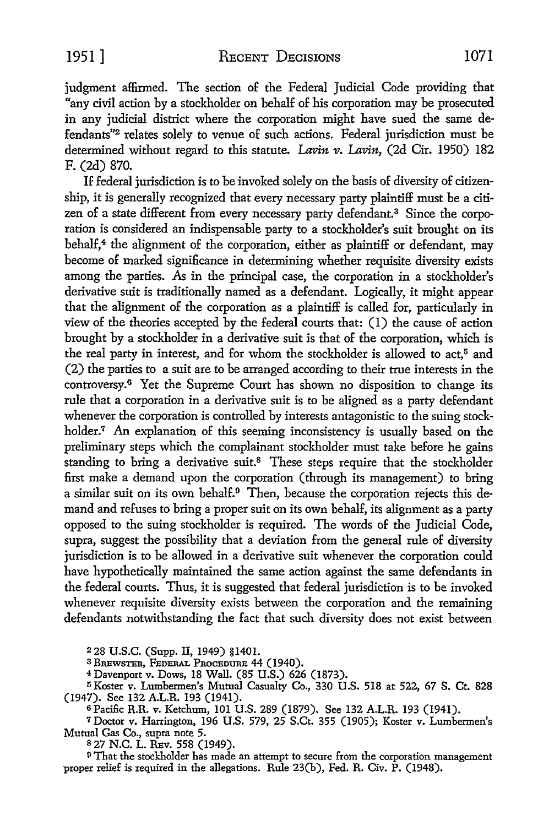1951] RECENT DECISIONS 1071

judgment affirmed. The section of the Federal Judicial Code providing that "any civil action by a stockholder on behalf of his corporation may be prosecuted in any judicial district where the corporation might have sued the same defendants"2 relates solely to venue of such actions. Federal jurisdiction must be determined without regard to this statute. Lavin v. Lavin, (2d Cir. 1950) 182 F. (2d) 870.

If federal jurisdiction is to be invoked solely on the basis of diversity of citizenship, it is generally recognized that every necessary party plaintiff must be a citizen of a state different from every necessary party defendant.<sup>3</sup> Since the corporation is considered an indispensable party to a stockholder's suit brought on its behalf, $4$  the alignment of the corporation, either as plaintiff or defendant, may become of marked significance in determining whether requisite diversity exists among the parties. As in the principal case, the corporation in a stockholder's derivative suit is traditionally named as a defendant. Logically, it might appear that the alignment of the corporation as a plaintiff is called for, particularly in view of the theories accepted by the federal courts that: (I) the cause of action brought by a stockholder in a derivative suit is that of the corporation, which is the real party in interest, and for whom the stockholder is allowed to act,<sup>5</sup> and (2) the parties to a suit are to be arranged according to their true interests in the controversy.6 Yet the Supreme Court has shown no disposition to change its rule that a corporation in a derivative suit is to be aligned as a party defendant whenever the corporation is controlled by interests antagonistic to the suing stockholder.<sup>7</sup> An explanation of this seeming inconsistency is usually based on the preliminary steps which the complainant stockholder must take before he gains standing to bring a derivative suit.<sup>8</sup> These steps require that the stockholder first make a demand upon the corporation (through its management) to bring a similar suit on its own behalf.<sup>9</sup> Then, because the corporation rejects this demand and refuses to bring a proper suit on its own behalf, its alignment as a party opposed to the suing stockholder is required. The words of the Judicial Code, supra, suggest the possibility that a deviation from the general rule of diversity jurisdiction is to be allowed in a derivative suit whenever the corporation could have hypothetically maintained the same action against the same defendants in the federal courts. Thus, it is suggested that federal jurisdiction is to be invoked whenever requisite diversity exists between the corporation and the remaining defendants notwithstanding the fact that such diversity does not exist between

2 28 U.S.C. (Supp. II, 1949) §1401.

3 BREWSTER, FEDERAL PROCEDURE 44 (1940).

<sup>4</sup>Davenport v. Dows, 18 Wall. (85 U.S.) 626 (1873).

<sup>5</sup>Koster v. Lumbermen's Mutual Casualty Co., 330 U.S. 518 at 522, 67 S. Ct. 828 (1947). See 132 A.L.R. 193 (1941).

<sup>6</sup>Pacific R.R. v. Ketchum, 101 U.S. 289 (1879). See 132 A.L.R. 193 (1941).

<sup>7</sup>Doctor v. Harrington, 196 U.S. 579, 25 S.Ct. 355 (1905); Koster v. Lumbermen's Mutual Gas Co., supra note 5.

s 27 N.C. L. REv. 558 (1949).

<sup>9</sup>That the stockholder has made an attempt to secure from the corporation management proper relief is required in the allegations. Rule 23(b), Fed. R. Civ. P. (1948).